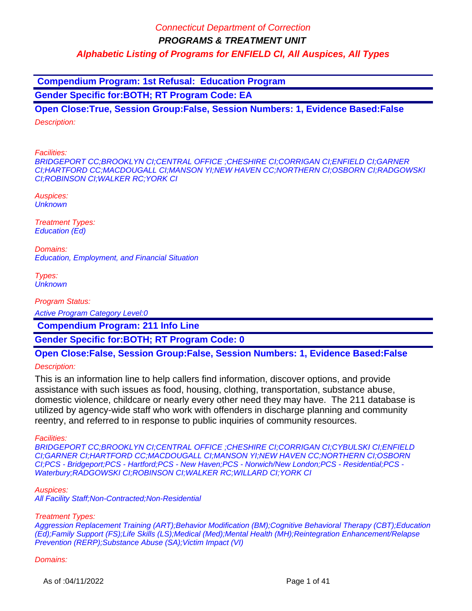**Compendium Program: 1st Refusal: Education Program**

**Gender Specific for:BOTH; RT Program Code: EA**

**Open Close:True, Session Group:False, Session Numbers: 1, Evidence Based:False** Description:

Facilities:

BRIDGEPORT CC;BROOKLYN CI;CENTRAL OFFICE ;CHESHIRE CI;CORRIGAN CI;ENFIELD CI;GARNER CI;HARTFORD CC;MACDOUGALL CI;MANSON YI;NEW HAVEN CC;NORTHERN CI;OSBORN CI;RADGOWSKI CI;ROBINSON CI;WALKER RC;YORK CI

Auspices: **Unknown** 

Treatment Types: Education (Ed)

Domains: Education, Employment, and Financial Situation

Types: **Unknown** 

Program Status:

Active Program Category Level:0

 **Compendium Program: 211 Info Line**

**Gender Specific for:BOTH; RT Program Code: 0**

# **Open Close:False, Session Group:False, Session Numbers: 1, Evidence Based:False**

Description:

This is an information line to help callers find information, discover options, and provide assistance with such issues as food, housing, clothing, transportation, substance abuse, domestic violence, childcare or nearly every other need they may have. The 211 database is utilized by agency-wide staff who work with offenders in discharge planning and community reentry, and referred to in response to public inquiries of community resources.

Facilities:

BRIDGEPORT CC;BROOKLYN CI;CENTRAL OFFICE ;CHESHIRE CI;CORRIGAN CI;CYBULSKI CI;ENFIELD CI;GARNER CI;HARTFORD CC;MACDOUGALL CI;MANSON YI;NEW HAVEN CC;NORTHERN CI;OSBORN CI;PCS - Bridgeport;PCS - Hartford;PCS - New Haven;PCS - Norwich/New London;PCS - Residential;PCS - Waterbury;RADGOWSKI CI;ROBINSON CI;WALKER RC;WILLARD CI;YORK CI

Auspices:

All Facility Staff;Non-Contracted;Non-Residential

#### Treatment Types:

Aggression Replacement Training (ART);Behavior Modification (BM);Cognitive Behavioral Therapy (CBT);Education (Ed);Family Support (FS);Life Skills (LS);Medical (Med);Mental Health (MH);Reintegration Enhancement/Relapse Prevention (RERP);Substance Abuse (SA);Victim Impact (VI)

#### Domains: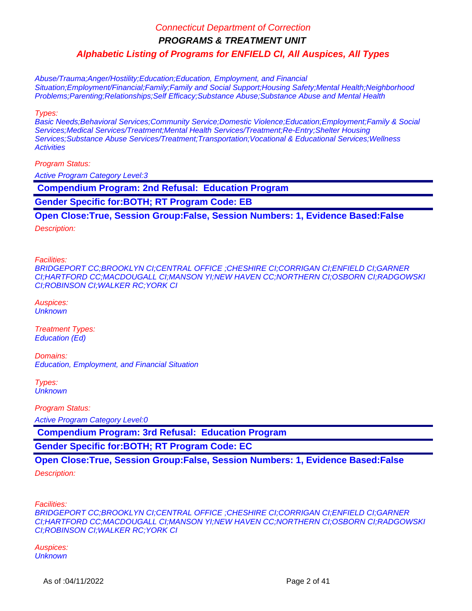**PROGRAMS & TREATMENT UNIT**

**Alphabetic Listing of Programs for ENFIELD CI, All Auspices, All Types**

Abuse/Trauma;Anger/Hostility;Education;Education, Employment, and Financial Situation;Employment/Financial;Family;Family and Social Support;Housing Safety;Mental Health;Neighborhood Problems;Parenting;Relationships;Self Efficacy;Substance Abuse;Substance Abuse and Mental Health

Types:

Basic Needs;Behavioral Services;Community Service;Domestic Violence;Education;Employment;Family & Social Services;Medical Services/Treatment;Mental Health Services/Treatment;Re-Entry;Shelter Housing Services;Substance Abuse Services/Treatment;Transportation;Vocational & Educational Services;Wellness **Activities** 

Program Status:

Active Program Category Level:3

 **Compendium Program: 2nd Refusal: Education Program**

**Gender Specific for:BOTH; RT Program Code: EB**

**Open Close:True, Session Group:False, Session Numbers: 1, Evidence Based:False**

Description:

Facilities:

BRIDGEPORT CC;BROOKLYN CI;CENTRAL OFFICE ;CHESHIRE CI;CORRIGAN CI;ENFIELD CI;GARNER CI;HARTFORD CC;MACDOUGALL CI;MANSON YI;NEW HAVEN CC;NORTHERN CI;OSBORN CI;RADGOWSKI CI;ROBINSON CI;WALKER RC;YORK CI

Auspices: **Unknown** 

Treatment Types: Education (Ed)

Domains: Education, Employment, and Financial Situation

Types: **Unknown** 

Program Status:

Active Program Category Level:0

 **Compendium Program: 3rd Refusal: Education Program**

**Gender Specific for:BOTH; RT Program Code: EC**

**Open Close:True, Session Group:False, Session Numbers: 1, Evidence Based:False**

Description:

Facilities:

BRIDGEPORT CC;BROOKLYN CI;CENTRAL OFFICE ;CHESHIRE CI;CORRIGAN CI;ENFIELD CI;GARNER CI;HARTFORD CC;MACDOUGALL CI;MANSON YI;NEW HAVEN CC;NORTHERN CI;OSBORN CI;RADGOWSKI CI;ROBINSON CI;WALKER RC;YORK CI

Auspices: **Unknown**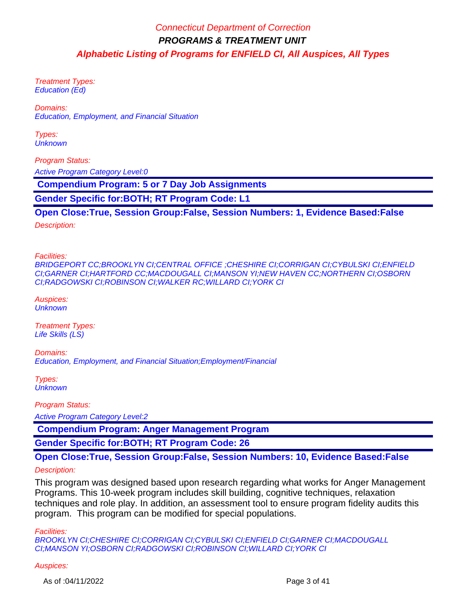Treatment Types: Education (Ed)

Domains: Education, Employment, and Financial Situation

Types: **Unknown** 

Program Status: Active Program Category Level:0

 **Compendium Program: 5 or 7 Day Job Assignments**

**Gender Specific for:BOTH; RT Program Code: L1**

**Open Close:True, Session Group:False, Session Numbers: 1, Evidence Based:False**

Description:

Facilities:

BRIDGEPORT CC;BROOKLYN CI;CENTRAL OFFICE ;CHESHIRE CI;CORRIGAN CI;CYBULSKI CI;ENFIELD CI;GARNER CI;HARTFORD CC;MACDOUGALL CI;MANSON YI;NEW HAVEN CC;NORTHERN CI;OSBORN CI;RADGOWSKI CI;ROBINSON CI;WALKER RC;WILLARD CI;YORK CI

Auspices: **Unknown** 

Treatment Types: Life Skills (LS)

Domains: Education, Employment, and Financial Situation;Employment/Financial

Types: **Unknown** 

Program Status:

Active Program Category Level:2

 **Compendium Program: Anger Management Program**

**Gender Specific for:BOTH; RT Program Code: 26**

### **Open Close:True, Session Group:False, Session Numbers: 10, Evidence Based:False**

Description:

This program was designed based upon research regarding what works for Anger Management Programs. This 10-week program includes skill building, cognitive techniques, relaxation techniques and role play. In addition, an assessment tool to ensure program fidelity audits this program. This program can be modified for special populations.

Facilities:

BROOKLYN CI;CHESHIRE CI;CORRIGAN CI;CYBULSKI CI;ENFIELD CI;GARNER CI;MACDOUGALL CI;MANSON YI;OSBORN CI;RADGOWSKI CI;ROBINSON CI;WILLARD CI;YORK CI

Auspices: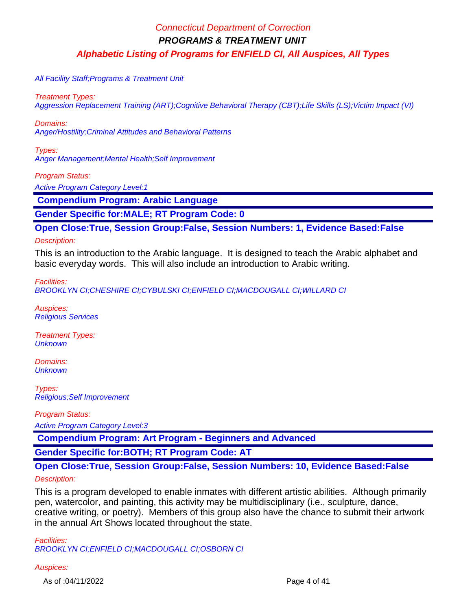All Facility Staff;Programs & Treatment Unit

Treatment Types:

Aggression Replacement Training (ART);Cognitive Behavioral Therapy (CBT);Life Skills (LS);Victim Impact (VI)

Domains:

Anger/Hostility;Criminal Attitudes and Behavioral Patterns

Types: Anger Management;Mental Health;Self Improvement

Program Status:

Active Program Category Level:1

 **Compendium Program: Arabic Language**

**Gender Specific for:MALE; RT Program Code: 0**

**Open Close:True, Session Group:False, Session Numbers: 1, Evidence Based:False**

Description:

This is an introduction to the Arabic language. It is designed to teach the Arabic alphabet and basic everyday words. This will also include an introduction to Arabic writing.

Facilities: BROOKLYN CI;CHESHIRE CI;CYBULSKI CI;ENFIELD CI;MACDOUGALL CI;WILLARD CI

Auspices: Religious Services

Treatment Types: **Unknown** 

Domains: **Unknown** 

Types: Religious;Self Improvement

Program Status:

Active Program Category Level:3

 **Compendium Program: Art Program - Beginners and Advanced**

**Gender Specific for:BOTH; RT Program Code: AT**

**Open Close:True, Session Group:False, Session Numbers: 10, Evidence Based:False**

Description:

This is a program developed to enable inmates with different artistic abilities. Although primarily pen, watercolor, and painting, this activity may be multidisciplinary (i.e., sculpture, dance, creative writing, or poetry). Members of this group also have the chance to submit their artwork in the annual Art Shows located throughout the state.

Facilities: BROOKLYN CI;ENFIELD CI;MACDOUGALL CI;OSBORN CI

Auspices:

As of :04/11/2022 Page 4 of 41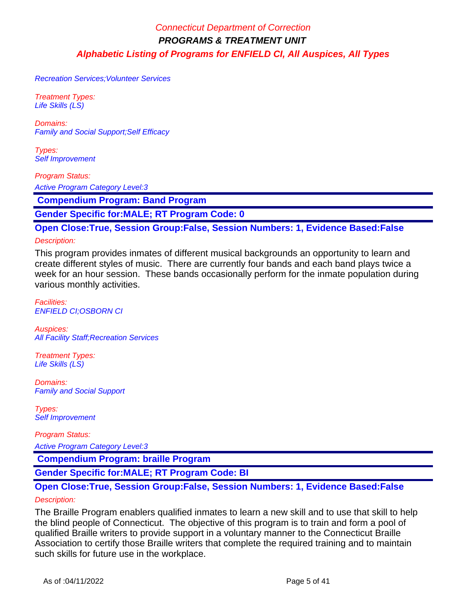Recreation Services;Volunteer Services

Treatment Types: Life Skills (LS)

Domains: Family and Social Support;Self Efficacy

Types: Self Improvement

Program Status:

Active Program Category Level:3

 **Compendium Program: Band Program**

**Gender Specific for:MALE; RT Program Code: 0**

**Open Close:True, Session Group:False, Session Numbers: 1, Evidence Based:False**

#### Description:

This program provides inmates of different musical backgrounds an opportunity to learn and create different styles of music. There are currently four bands and each band plays twice a week for an hour session. These bands occasionally perform for the inmate population during various monthly activities.

Facilities: ENFIELD CI;OSBORN CI

Auspices: **All Facility Staff; Recreation Services** 

Treatment Types: Life Skills (LS)

Domains: Family and Social Support

Types: Self Improvement

Program Status:

Active Program Category Level:3

 **Compendium Program: braille Program**

**Gender Specific for:MALE; RT Program Code: BI**

### **Open Close:True, Session Group:False, Session Numbers: 1, Evidence Based:False** Description:

The Braille Program enablers qualified inmates to learn a new skill and to use that skill to help the blind people of Connecticut. The objective of this program is to train and form a pool of qualified Braille writers to provide support in a voluntary manner to the Connecticut Braille Association to certify those Braille writers that complete the required training and to maintain such skills for future use in the workplace.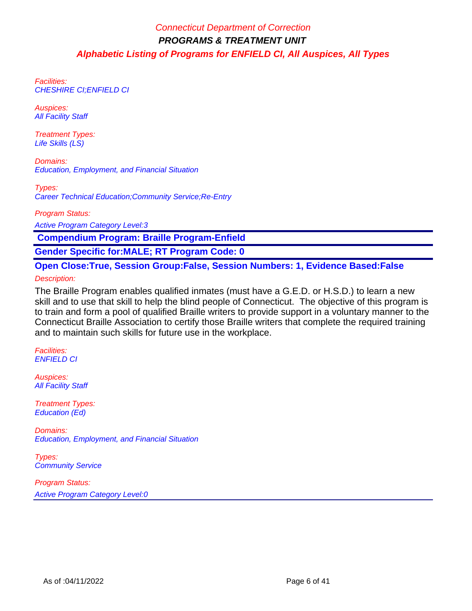Facilities: CHESHIRE CI;ENFIELD CI

Auspices: **All Facility Staff** 

Treatment Types: Life Skills (LS)

Domains: Education, Employment, and Financial Situation

Types: Career Technical Education;Community Service;Re-Entry

Program Status:

Active Program Category Level:3

 **Compendium Program: Braille Program-Enfield**

**Gender Specific for:MALE; RT Program Code: 0**

**Open Close:True, Session Group:False, Session Numbers: 1, Evidence Based:False** Description:

The Braille Program enables qualified inmates (must have a G.E.D. or H.S.D.) to learn a new skill and to use that skill to help the blind people of Connecticut. The objective of this program is to train and form a pool of qualified Braille writers to provide support in a voluntary manner to the Connecticut Braille Association to certify those Braille writers that complete the required training and to maintain such skills for future use in the workplace.

Facilities: ENFIELD CI

Auspices: **All Facility Staff** 

Treatment Types: Education (Ed)

Domains: Education, Employment, and Financial Situation

Types: Community Service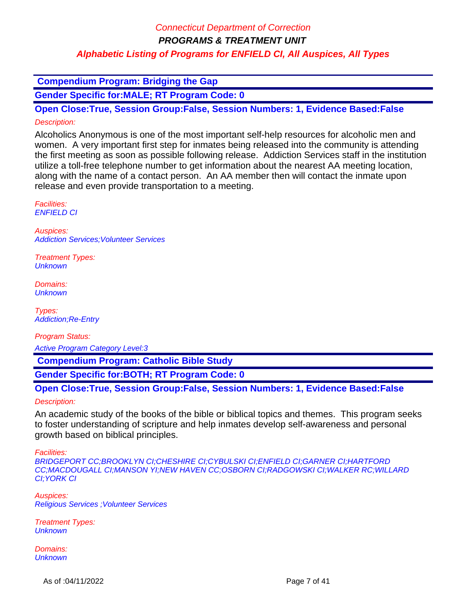**PROGRAMS & TREATMENT UNIT**

### **Alphabetic Listing of Programs for ENFIELD CI, All Auspices, All Types**

 **Compendium Program: Bridging the Gap**

**Gender Specific for:MALE; RT Program Code: 0**

**Open Close:True, Session Group:False, Session Numbers: 1, Evidence Based:False** Description:

Alcoholics Anonymous is one of the most important self-help resources for alcoholic men and women. A very important first step for inmates being released into the community is attending the first meeting as soon as possible following release. Addiction Services staff in the institution utilize a toll-free telephone number to get information about the nearest AA meeting location, along with the name of a contact person. An AA member then will contact the inmate upon release and even provide transportation to a meeting.

Facilities: ENFIELD CI

Auspices: Addiction Services;Volunteer Services

Treatment Types: **Unknown** 

Domains: **Unknown** 

Types: Addiction;Re-Entry

Program Status: Active Program Category Level:3

 **Compendium Program: Catholic Bible Study**

**Gender Specific for:BOTH; RT Program Code: 0**

**Open Close:True, Session Group:False, Session Numbers: 1, Evidence Based:False**

Description:

An academic study of the books of the bible or biblical topics and themes. This program seeks to foster understanding of scripture and help inmates develop self-awareness and personal growth based on biblical principles.

Facilities:

BRIDGEPORT CC;BROOKLYN CI;CHESHIRE CI;CYBULSKI CI;ENFIELD CI;GARNER CI;HARTFORD CC;MACDOUGALL CI;MANSON YI;NEW HAVEN CC;OSBORN CI;RADGOWSKI CI;WALKER RC;WILLARD CI;YORK CI

Auspices: Religious Services ;Volunteer Services

Treatment Types: **Unknown** 

Domains: **Unknown**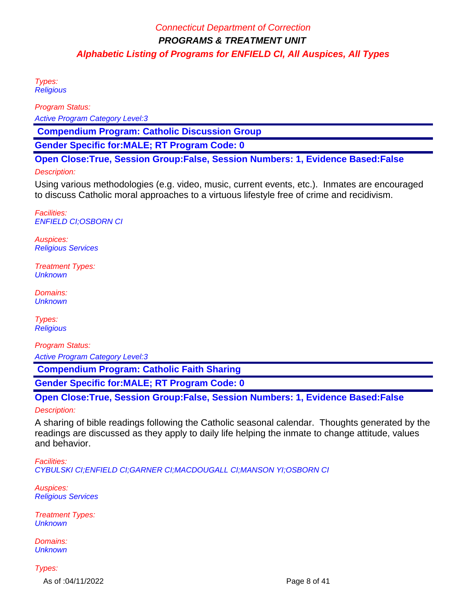Types: **Religious** 

Program Status:

Active Program Category Level:3

 **Compendium Program: Catholic Discussion Group**

**Gender Specific for:MALE; RT Program Code: 0**

**Open Close:True, Session Group:False, Session Numbers: 1, Evidence Based:False**

#### Description:

Using various methodologies (e.g. video, music, current events, etc.). Inmates are encouraged to discuss Catholic moral approaches to a virtuous lifestyle free of crime and recidivism.

Facilities: ENFIELD CI;OSBORN CI

Auspices: Religious Services

Treatment Types: **Unknown** 

Domains: **Unknown** 

Types: **Religious** 

Program Status:

Active Program Category Level:3

 **Compendium Program: Catholic Faith Sharing**

**Gender Specific for:MALE; RT Program Code: 0**

**Open Close:True, Session Group:False, Session Numbers: 1, Evidence Based:False** Description:

A sharing of bible readings following the Catholic seasonal calendar. Thoughts generated by the readings are discussed as they apply to daily life helping the inmate to change attitude, values and behavior.

Facilities: CYBULSKI CI;ENFIELD CI;GARNER CI;MACDOUGALL CI;MANSON YI;OSBORN CI

Auspices: Religious Services

Treatment Types: **Unknown** 

Domains: **Unknown** 

Types:

As of :04/11/2022 Page 8 of 41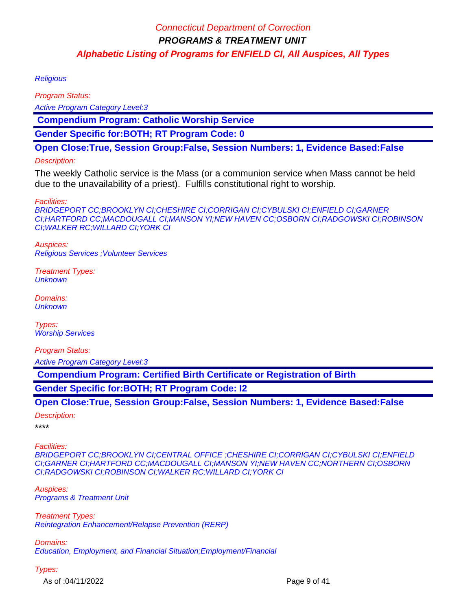#### **Religious**

Program Status:

Active Program Category Level:3

 **Compendium Program: Catholic Worship Service**

**Gender Specific for:BOTH; RT Program Code: 0**

**Open Close:True, Session Group:False, Session Numbers: 1, Evidence Based:False**

#### Description:

The weekly Catholic service is the Mass (or a communion service when Mass cannot be held due to the unavailability of a priest). Fulfills constitutional right to worship.

#### Facilities:

BRIDGEPORT CC;BROOKLYN CI;CHESHIRE CI;CORRIGAN CI;CYBULSKI CI;ENFIELD CI;GARNER CI;HARTFORD CC;MACDOUGALL CI;MANSON YI;NEW HAVEN CC;OSBORN CI;RADGOWSKI CI;ROBINSON CI;WALKER RC;WILLARD CI;YORK CI

Auspices: Religious Services ;Volunteer Services

Treatment Types: **Unknown** 

Domains: **Unknown** 

Types: Worship Services

Program Status:

Active Program Category Level:3

 **Compendium Program: Certified Birth Certificate or Registration of Birth**

**Gender Specific for:BOTH; RT Program Code: I2**

**Open Close:True, Session Group:False, Session Numbers: 1, Evidence Based:False**

#### Description:

\*\*\*\*

#### Facilities:

BRIDGEPORT CC;BROOKLYN CI;CENTRAL OFFICE ;CHESHIRE CI;CORRIGAN CI;CYBULSKI CI;ENFIELD CI;GARNER CI;HARTFORD CC;MACDOUGALL CI;MANSON YI;NEW HAVEN CC;NORTHERN CI;OSBORN CI;RADGOWSKI CI;ROBINSON CI;WALKER RC;WILLARD CI;YORK CI

Auspices: Programs & Treatment Unit

Treatment Types: Reintegration Enhancement/Relapse Prevention (RERP)

Domains: Education, Employment, and Financial Situation;Employment/Financial

#### Types:

As of :04/11/2022 Page 9 of 41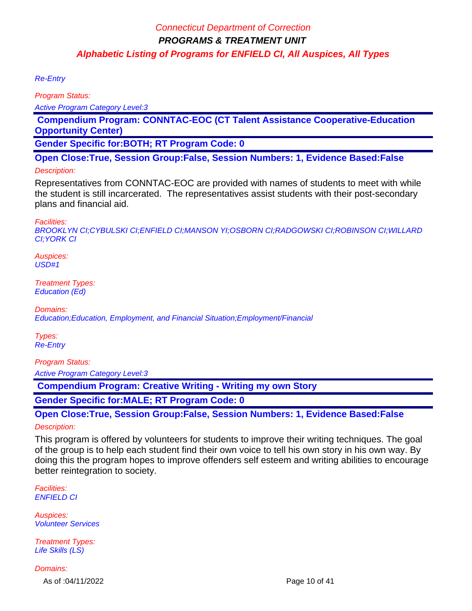Re-Entry

Program Status:

Active Program Category Level:3

 **Compendium Program: CONNTAC-EOC (CT Talent Assistance Cooperative-Education Opportunity Center)**

**Gender Specific for:BOTH; RT Program Code: 0**

**Open Close:True, Session Group:False, Session Numbers: 1, Evidence Based:False**

#### Description:

Representatives from CONNTAC-EOC are provided with names of students to meet with while the student is still incarcerated. The representatives assist students with their post-secondary plans and financial aid.

Facilities:

BROOKLYN CI;CYBULSKI CI;ENFIELD CI;MANSON YI;OSBORN CI;RADGOWSKI CI;ROBINSON CI;WILLARD CI;YORK CI

Auspices: USD#1

Treatment Types: Education (Ed)

Domains: Education;Education, Employment, and Financial Situation;Employment/Financial

Types: Re-Entry

Program Status:

Active Program Category Level:3

 **Compendium Program: Creative Writing - Writing my own Story**

**Gender Specific for:MALE; RT Program Code: 0**

**Open Close:True, Session Group:False, Session Numbers: 1, Evidence Based:False**

### Description:

This program is offered by volunteers for students to improve their writing techniques. The goal of the group is to help each student find their own voice to tell his own story in his own way. By doing this the program hopes to improve offenders self esteem and writing abilities to encourage better reintegration to society.

Facilities: ENFIELD CI

Auspices: Volunteer Services

Treatment Types: Life Skills (LS)

Domains:

As of :04/11/2022 Page 10 of 41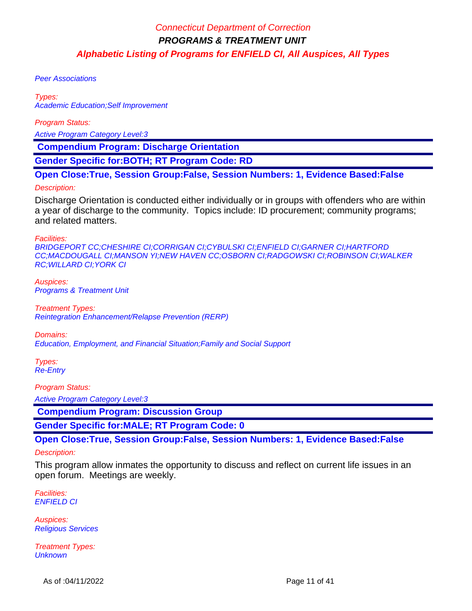Peer Associations

Types: Academic Education;Self Improvement

Program Status:

Active Program Category Level:3

 **Compendium Program: Discharge Orientation**

**Gender Specific for:BOTH; RT Program Code: RD**

**Open Close:True, Session Group:False, Session Numbers: 1, Evidence Based:False**

#### Description:

Discharge Orientation is conducted either individually or in groups with offenders who are within a year of discharge to the community. Topics include: ID procurement; community programs; and related matters.

#### Facilities:

BRIDGEPORT CC;CHESHIRE CI;CORRIGAN CI;CYBULSKI CI;ENFIELD CI;GARNER CI;HARTFORD CC;MACDOUGALL CI;MANSON YI;NEW HAVEN CC;OSBORN CI;RADGOWSKI CI;ROBINSON CI;WALKER RC;WILLARD CI;YORK CI

Auspices: Programs & Treatment Unit

Treatment Types: Reintegration Enhancement/Relapse Prevention (RERP)

Domains: Education, Employment, and Financial Situation;Family and Social Support

Types: Re-Entry

Program Status:

Active Program Category Level:3

 **Compendium Program: Discussion Group**

**Gender Specific for:MALE; RT Program Code: 0**

**Open Close:True, Session Group:False, Session Numbers: 1, Evidence Based:False**

#### Description:

This program allow inmates the opportunity to discuss and reflect on current life issues in an open forum. Meetings are weekly.

Facilities: ENFIELD CI

Auspices: Religious Services

Treatment Types: **Unknown**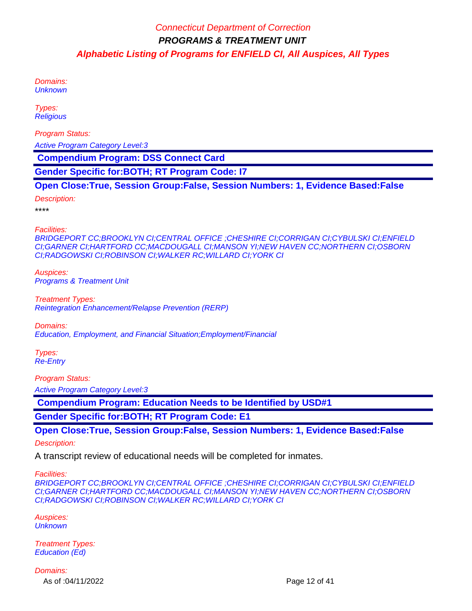Domains: **Unknown** 

Types: **Religious** 

Program Status:

Active Program Category Level:3

 **Compendium Program: DSS Connect Card**

**Gender Specific for:BOTH; RT Program Code: I7**

**Open Close:True, Session Group:False, Session Numbers: 1, Evidence Based:False**

Description:

\*\*\*\*

Facilities:

BRIDGEPORT CC;BROOKLYN CI;CENTRAL OFFICE ;CHESHIRE CI;CORRIGAN CI;CYBULSKI CI;ENFIELD CI;GARNER CI;HARTFORD CC;MACDOUGALL CI;MANSON YI;NEW HAVEN CC;NORTHERN CI;OSBORN CI;RADGOWSKI CI;ROBINSON CI;WALKER RC;WILLARD CI;YORK CI

Auspices: Programs & Treatment Unit

Treatment Types: Reintegration Enhancement/Relapse Prevention (RERP)

Domains:

Education, Employment, and Financial Situation;Employment/Financial

Types: Re-Entry

Program Status:

Active Program Category Level:3

 **Compendium Program: Education Needs to be Identified by USD#1**

**Gender Specific for:BOTH; RT Program Code: E1**

**Open Close:True, Session Group:False, Session Numbers: 1, Evidence Based:False**

Description:

A transcript review of educational needs will be completed for inmates.

Facilities:

BRIDGEPORT CC;BROOKLYN CI;CENTRAL OFFICE ;CHESHIRE CI;CORRIGAN CI;CYBULSKI CI;ENFIELD CI;GARNER CI;HARTFORD CC;MACDOUGALL CI;MANSON YI;NEW HAVEN CC;NORTHERN CI;OSBORN CI;RADGOWSKI CI;ROBINSON CI;WALKER RC;WILLARD CI;YORK CI

Auspices: **Unknown** 

Treatment Types: Education (Ed)

Domains:

As of :04/11/2022 Page 12 of 41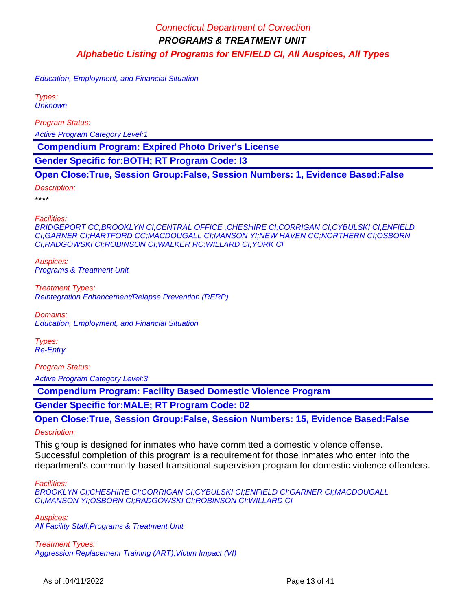Education, Employment, and Financial Situation

Types: **Unknown** 

Program Status:

Active Program Category Level:1

 **Compendium Program: Expired Photo Driver's License**

**Gender Specific for:BOTH; RT Program Code: I3**

**Open Close:True, Session Group:False, Session Numbers: 1, Evidence Based:False**

Description:

\*\*\*\*

Facilities:

BRIDGEPORT CC;BROOKLYN CI;CENTRAL OFFICE ;CHESHIRE CI;CORRIGAN CI;CYBULSKI CI;ENFIELD CI;GARNER CI;HARTFORD CC;MACDOUGALL CI;MANSON YI;NEW HAVEN CC;NORTHERN CI;OSBORN CI;RADGOWSKI CI;ROBINSON CI;WALKER RC;WILLARD CI;YORK CI

Auspices: Programs & Treatment Unit

Treatment Types: Reintegration Enhancement/Relapse Prevention (RERP)

Domains: Education, Employment, and Financial Situation

Types: Re-Entry

Program Status:

Active Program Category Level:3

 **Compendium Program: Facility Based Domestic Violence Program**

**Gender Specific for:MALE; RT Program Code: 02**

**Open Close:True, Session Group:False, Session Numbers: 15, Evidence Based:False**

Description:

This group is designed for inmates who have committed a domestic violence offense. Successful completion of this program is a requirement for those inmates who enter into the department's community-based transitional supervision program for domestic violence offenders.

Facilities:

BROOKLYN CI;CHESHIRE CI;CORRIGAN CI;CYBULSKI CI;ENFIELD CI;GARNER CI;MACDOUGALL CI;MANSON YI;OSBORN CI;RADGOWSKI CI;ROBINSON CI;WILLARD CI

Auspices: All Facility Staff;Programs & Treatment Unit

Treatment Types: Aggression Replacement Training (ART); Victim Impact (VI)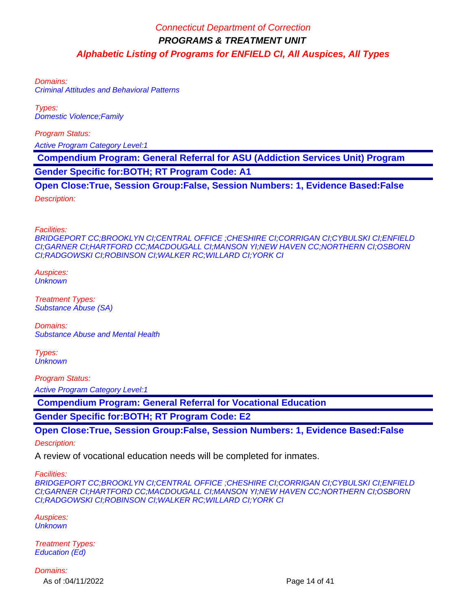Domains: Criminal Attitudes and Behavioral Patterns

Types: Domestic Violence;Family

Program Status:

Active Program Category Level:1

 **Compendium Program: General Referral for ASU (Addiction Services Unit) Program**

**Gender Specific for:BOTH; RT Program Code: A1**

**Open Close:True, Session Group:False, Session Numbers: 1, Evidence Based:False**

Description:

Facilities:

BRIDGEPORT CC;BROOKLYN CI;CENTRAL OFFICE ;CHESHIRE CI;CORRIGAN CI;CYBULSKI CI;ENFIELD CI;GARNER CI;HARTFORD CC;MACDOUGALL CI;MANSON YI;NEW HAVEN CC;NORTHERN CI;OSBORN CI;RADGOWSKI CI;ROBINSON CI;WALKER RC;WILLARD CI;YORK CI

Auspices: **Unknown** 

Treatment Types: Substance Abuse (SA)

Domains: Substance Abuse and Mental Health

Types: **Unknown** 

Program Status:

Active Program Category Level:1

 **Compendium Program: General Referral for Vocational Education**

**Gender Specific for:BOTH; RT Program Code: E2**

### **Open Close:True, Session Group:False, Session Numbers: 1, Evidence Based:False**

Description:

A review of vocational education needs will be completed for inmates.

Facilities:

BRIDGEPORT CC;BROOKLYN CI;CENTRAL OFFICE ;CHESHIRE CI;CORRIGAN CI;CYBULSKI CI;ENFIELD CI;GARNER CI;HARTFORD CC;MACDOUGALL CI;MANSON YI;NEW HAVEN CC;NORTHERN CI;OSBORN CI;RADGOWSKI CI;ROBINSON CI;WALKER RC;WILLARD CI;YORK CI

Auspices: **Unknown** 

Treatment Types: Education (Ed)

Domains:

As of :04/11/2022 Page 14 of 41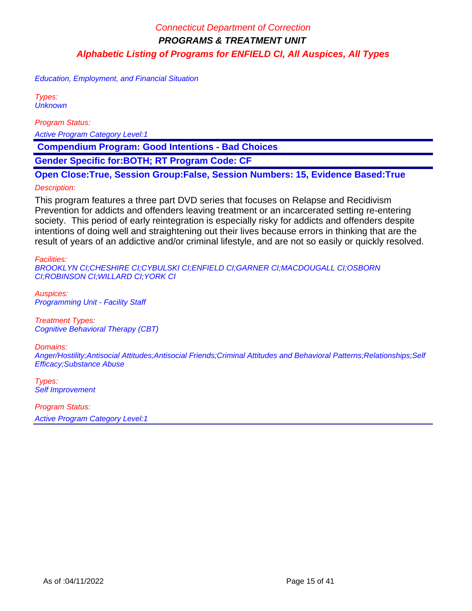Education, Employment, and Financial Situation

Types: **Unknown** 

Program Status:

Active Program Category Level:1

 **Compendium Program: Good Intentions - Bad Choices**

**Gender Specific for:BOTH; RT Program Code: CF**

**Open Close:True, Session Group:False, Session Numbers: 15, Evidence Based:True**

#### Description:

This program features a three part DVD series that focuses on Relapse and Recidivism Prevention for addicts and offenders leaving treatment or an incarcerated setting re-entering society. This period of early reintegration is especially risky for addicts and offenders despite intentions of doing well and straightening out their lives because errors in thinking that are the result of years of an addictive and/or criminal lifestyle, and are not so easily or quickly resolved.

Facilities:

BROOKLYN CI;CHESHIRE CI;CYBULSKI CI;ENFIELD CI;GARNER CI;MACDOUGALL CI;OSBORN CI;ROBINSON CI;WILLARD CI;YORK CI

Auspices: Programming Unit - Facility Staff

Treatment Types: Cognitive Behavioral Therapy (CBT)

Domains:

Anger/Hostility;Antisocial Attitudes;Antisocial Friends;Criminal Attitudes and Behavioral Patterns;Relationships;Self Efficacy;Substance Abuse

Types: Self Improvement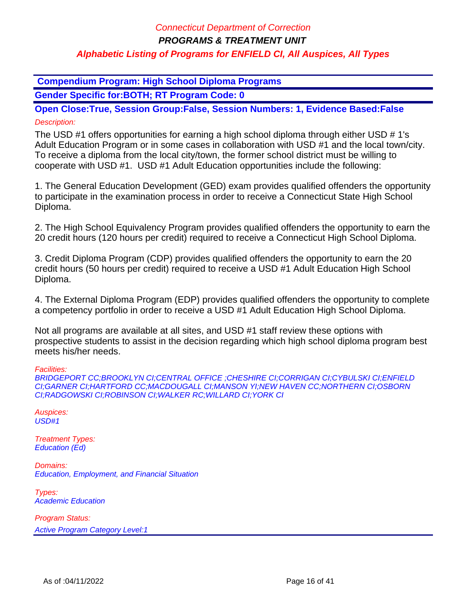**PROGRAMS & TREATMENT UNIT**

### **Alphabetic Listing of Programs for ENFIELD CI, All Auspices, All Types**

 **Compendium Program: High School Diploma Programs**

**Gender Specific for:BOTH; RT Program Code: 0**

**Open Close:True, Session Group:False, Session Numbers: 1, Evidence Based:False** Description:

The USD #1 offers opportunities for earning a high school diploma through either USD # 1's Adult Education Program or in some cases in collaboration with USD #1 and the local town/city. To receive a diploma from the local city/town, the former school district must be willing to cooperate with USD #1. USD #1 Adult Education opportunities include the following:

1. The General Education Development (GED) exam provides qualified offenders the opportunity to participate in the examination process in order to receive a Connecticut State High School Diploma.

2. The High School Equivalency Program provides qualified offenders the opportunity to earn the 20 credit hours (120 hours per credit) required to receive a Connecticut High School Diploma.

3. Credit Diploma Program (CDP) provides qualified offenders the opportunity to earn the 20 credit hours (50 hours per credit) required to receive a USD #1 Adult Education High School Diploma.

4. The External Diploma Program (EDP) provides qualified offenders the opportunity to complete a competency portfolio in order to receive a USD #1 Adult Education High School Diploma.

Not all programs are available at all sites, and USD #1 staff review these options with prospective students to assist in the decision regarding which high school diploma program best meets his/her needs.

Facilities:

BRIDGEPORT CC;BROOKLYN CI;CENTRAL OFFICE ;CHESHIRE CI;CORRIGAN CI;CYBULSKI CI;ENFIELD CI;GARNER CI;HARTFORD CC;MACDOUGALL CI;MANSON YI;NEW HAVEN CC;NORTHERN CI;OSBORN CI;RADGOWSKI CI;ROBINSON CI;WALKER RC;WILLARD CI;YORK CI

Auspices:  $USD#1$ 

Treatment Types: Education (Ed)

Domains: Education, Employment, and Financial Situation

Types: Academic Education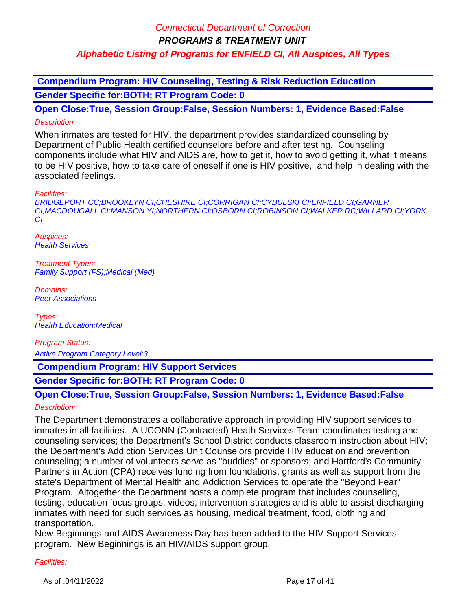**PROGRAMS & TREATMENT UNIT**

### **Alphabetic Listing of Programs for ENFIELD CI, All Auspices, All Types**

 **Compendium Program: HIV Counseling, Testing & Risk Reduction Education Gender Specific for:BOTH; RT Program Code: 0**

**Open Close:True, Session Group:False, Session Numbers: 1, Evidence Based:False** Description:

When inmates are tested for HIV, the department provides standardized counseling by Department of Public Health certified counselors before and after testing. Counseling components include what HIV and AIDS are, how to get it, how to avoid getting it, what it means to be HIV positive, how to take care of oneself if one is HIV positive, and help in dealing with the associated feelings.

Facilities:

BRIDGEPORT CC;BROOKLYN CI;CHESHIRE CI;CORRIGAN CI;CYBULSKI CI;ENFIELD CI;GARNER CI;MACDOUGALL CI;MANSON YI;NORTHERN CI;OSBORN CI;ROBINSON CI;WALKER RC;WILLARD CI;YORK CI

Auspices: **Health Services** 

Treatment Types: Family Support (FS);Medical (Med)

Domains: Peer Associations

Types: Health Education;Medical

Program Status:

Active Program Category Level:3

 **Compendium Program: HIV Support Services**

**Gender Specific for:BOTH; RT Program Code: 0**

# **Open Close:True, Session Group:False, Session Numbers: 1, Evidence Based:False**

### Description:

The Department demonstrates a collaborative approach in providing HIV support services to inmates in all facilities. A UCONN (Contracted) Heath Services Team coordinates testing and counseling services; the Department's School District conducts classroom instruction about HIV; the Department's Addiction Services Unit Counselors provide HIV education and prevention counseling; a number of volunteers serve as "buddies" or sponsors; and Hartford's Community Partners in Action (CPA) receives funding from foundations, grants as well as support from the state's Department of Mental Health and Addiction Services to operate the "Beyond Fear" Program. Altogether the Department hosts a complete program that includes counseling, testing, education focus groups, videos, intervention strategies and is able to assist discharging inmates with need for such services as housing, medical treatment, food, clothing and transportation.

New Beginnings and AIDS Awareness Day has been added to the HIV Support Services program. New Beginnings is an HIV/AIDS support group.

#### Facilities: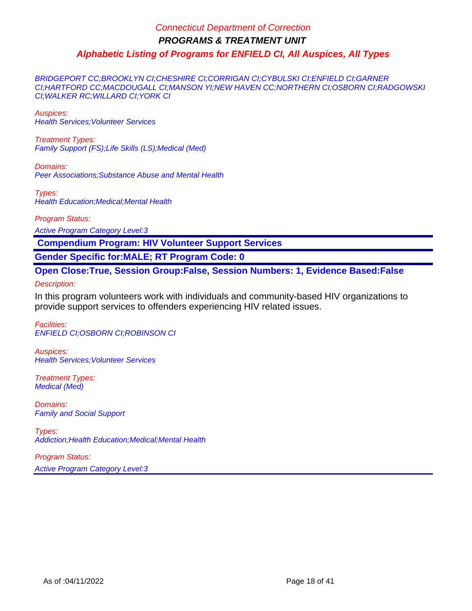BRIDGEPORT CC;BROOKLYN CI;CHESHIRE CI;CORRIGAN CI;CYBULSKI CI;ENFIELD CI;GARNER CI;HARTFORD CC;MACDOUGALL CI;MANSON YI;NEW HAVEN CC;NORTHERN CI;OSBORN CI;RADGOWSKI CI;WALKER RC;WILLARD CI;YORK CI

Auspices: Health Services;Volunteer Services

Treatment Types: Family Support (FS);Life Skills (LS);Medical (Med)

Domains: Peer Associations;Substance Abuse and Mental Health

Types: Health Education;Medical;Mental Health

Program Status:

Active Program Category Level:3

 **Compendium Program: HIV Volunteer Support Services**

**Gender Specific for:MALE; RT Program Code: 0**

### **Open Close:True, Session Group:False, Session Numbers: 1, Evidence Based:False**

Description:

In this program volunteers work with individuals and community-based HIV organizations to provide support services to offenders experiencing HIV related issues.

Facilities: ENFIELD CI;OSBORN CI;ROBINSON CI

Auspices: Health Services;Volunteer Services

Treatment Types: Medical (Med)

Domains: Family and Social Support

Types: Addiction;Health Education;Medical;Mental Health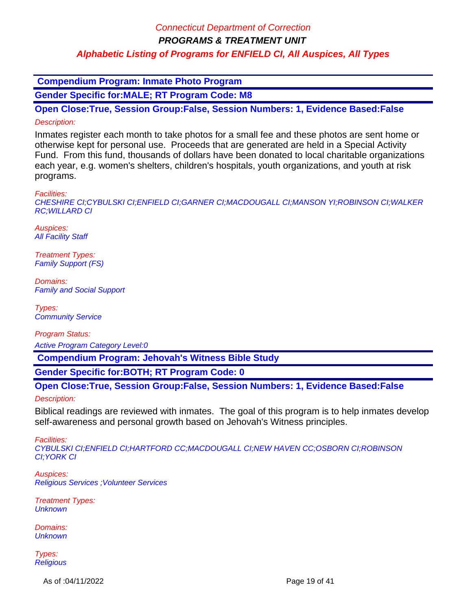**PROGRAMS & TREATMENT UNIT**

### **Alphabetic Listing of Programs for ENFIELD CI, All Auspices, All Types**

 **Compendium Program: Inmate Photo Program**

**Gender Specific for:MALE; RT Program Code: M8**

**Open Close:True, Session Group:False, Session Numbers: 1, Evidence Based:False** Description:

Inmates register each month to take photos for a small fee and these photos are sent home or otherwise kept for personal use. Proceeds that are generated are held in a Special Activity Fund. From this fund, thousands of dollars have been donated to local charitable organizations each year, e.g. women's shelters, children's hospitals, youth organizations, and youth at risk programs.

Facilities:

CHESHIRE CI;CYBULSKI CI;ENFIELD CI;GARNER CI;MACDOUGALL CI;MANSON YI;ROBINSON CI;WALKER RC;WILLARD CI

Auspices: **All Facility Staff** 

Treatment Types: Family Support (FS)

Domains: Family and Social Support

Types: Community Service

Program Status:

Active Program Category Level:0

 **Compendium Program: Jehovah's Witness Bible Study**

**Gender Specific for:BOTH; RT Program Code: 0**

**Open Close:True, Session Group:False, Session Numbers: 1, Evidence Based:False**

Description:

Biblical readings are reviewed with inmates. The goal of this program is to help inmates develop self-awareness and personal growth based on Jehovah's Witness principles.

Facilities:

CYBULSKI CI;ENFIELD CI;HARTFORD CC;MACDOUGALL CI;NEW HAVEN CC;OSBORN CI;ROBINSON CI;YORK CI

Auspices: Religious Services ;Volunteer Services

Treatment Types: **Unknown** 

Domains: **Unknown** 

Types: **Religious** 

As of :04/11/2022 Page 19 of 41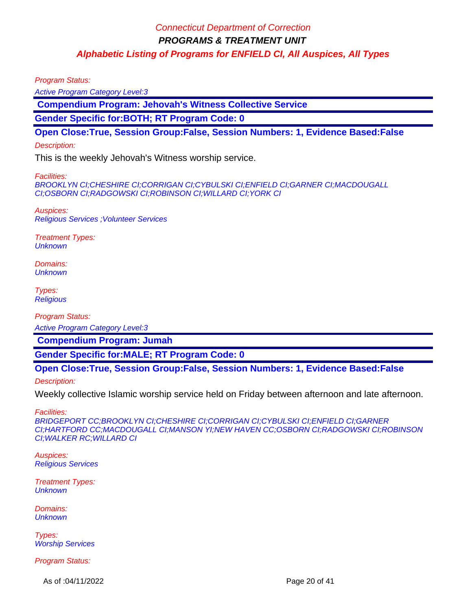Program Status:

Active Program Category Level:3

 **Compendium Program: Jehovah's Witness Collective Service**

**Gender Specific for:BOTH; RT Program Code: 0**

**Open Close:True, Session Group:False, Session Numbers: 1, Evidence Based:False**

#### Description:

This is the weekly Jehovah's Witness worship service.

Facilities:

BROOKLYN CI;CHESHIRE CI;CORRIGAN CI;CYBULSKI CI;ENFIELD CI;GARNER CI;MACDOUGALL CI;OSBORN CI;RADGOWSKI CI;ROBINSON CI;WILLARD CI;YORK CI

Auspices: Religious Services ;Volunteer Services

Treatment Types: **Unknown** 

Domains: **Unknown** 

Types: **Religious** 

Program Status:

Active Program Category Level:3

 **Compendium Program: Jumah**

**Gender Specific for:MALE; RT Program Code: 0**

**Open Close:True, Session Group:False, Session Numbers: 1, Evidence Based:False**

Description:

Weekly collective Islamic worship service held on Friday between afternoon and late afternoon.

Facilities:

BRIDGEPORT CC;BROOKLYN CI;CHESHIRE CI;CORRIGAN CI;CYBULSKI CI;ENFIELD CI;GARNER CI;HARTFORD CC;MACDOUGALL CI;MANSON YI;NEW HAVEN CC;OSBORN CI;RADGOWSKI CI;ROBINSON CI;WALKER RC;WILLARD CI

Auspices: Religious Services

Treatment Types: **Unknown** 

Domains: **Unknown** 

Types: Worship Services

Program Status:

As of :04/11/2022 Page 20 of 41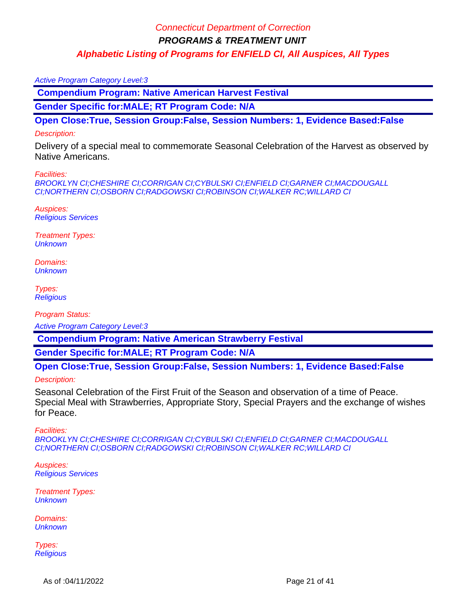**PROGRAMS & TREATMENT UNIT**

### **Alphabetic Listing of Programs for ENFIELD CI, All Auspices, All Types**

#### Active Program Category Level:3

 **Compendium Program: Native American Harvest Festival**

**Gender Specific for:MALE; RT Program Code: N/A**

**Open Close:True, Session Group:False, Session Numbers: 1, Evidence Based:False**

#### Description:

Delivery of a special meal to commemorate Seasonal Celebration of the Harvest as observed by Native Americans.

Facilities:

BROOKLYN CI;CHESHIRE CI;CORRIGAN CI;CYBULSKI CI;ENFIELD CI;GARNER CI;MACDOUGALL CI;NORTHERN CI;OSBORN CI;RADGOWSKI CI;ROBINSON CI;WALKER RC;WILLARD CI

Auspices: Religious Services

Treatment Types: **Unknown** 

Domains: **Unknown** 

Types: **Religious** 

Program Status:

Active Program Category Level:3

 **Compendium Program: Native American Strawberry Festival**

**Gender Specific for:MALE; RT Program Code: N/A**

**Open Close:True, Session Group:False, Session Numbers: 1, Evidence Based:False**

#### Description:

Seasonal Celebration of the First Fruit of the Season and observation of a time of Peace. Special Meal with Strawberries, Appropriate Story, Special Prayers and the exchange of wishes for Peace.

Facilities:

BROOKLYN CI;CHESHIRE CI;CORRIGAN CI;CYBULSKI CI;ENFIELD CI;GARNER CI;MACDOUGALL CI;NORTHERN CI;OSBORN CI;RADGOWSKI CI;ROBINSON CI;WALKER RC;WILLARD CI

Auspices: Religious Services

Treatment Types: **Unknown** 

Domains: **Unknown** 

Types: **Religious**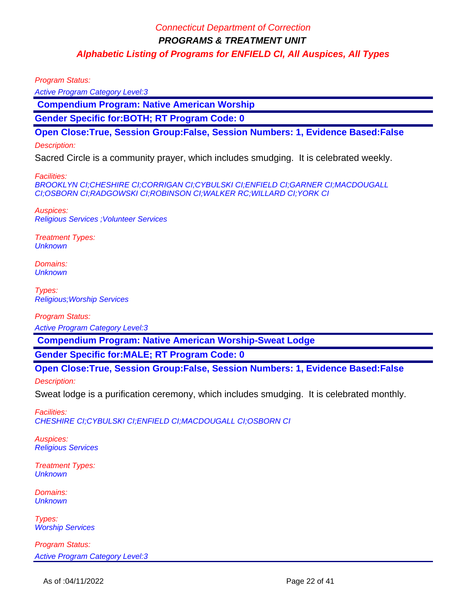Program Status:

Active Program Category Level:3

 **Compendium Program: Native American Worship**

**Gender Specific for:BOTH; RT Program Code: 0**

**Open Close:True, Session Group:False, Session Numbers: 1, Evidence Based:False**

#### Description:

Sacred Circle is a community prayer, which includes smudging. It is celebrated weekly.

Facilities:

BROOKLYN CI;CHESHIRE CI;CORRIGAN CI;CYBULSKI CI;ENFIELD CI;GARNER CI;MACDOUGALL CI;OSBORN CI;RADGOWSKI CI;ROBINSON CI;WALKER RC;WILLARD CI;YORK CI

Auspices: Religious Services ;Volunteer Services

Treatment Types: **Unknown** 

Domains: **Unknown** 

Types: Religious;Worship Services

Program Status:

Active Program Category Level:3

 **Compendium Program: Native American Worship-Sweat Lodge**

**Gender Specific for:MALE; RT Program Code: 0**

**Open Close:True, Session Group:False, Session Numbers: 1, Evidence Based:False**

Description:

Sweat lodge is a purification ceremony, which includes smudging. It is celebrated monthly.

Facilities: CHESHIRE CI;CYBULSKI CI;ENFIELD CI;MACDOUGALL CI;OSBORN CI

Auspices: Religious Services

Treatment Types: **Unknown** 

Domains: **Unknown** 

Types: Worship Services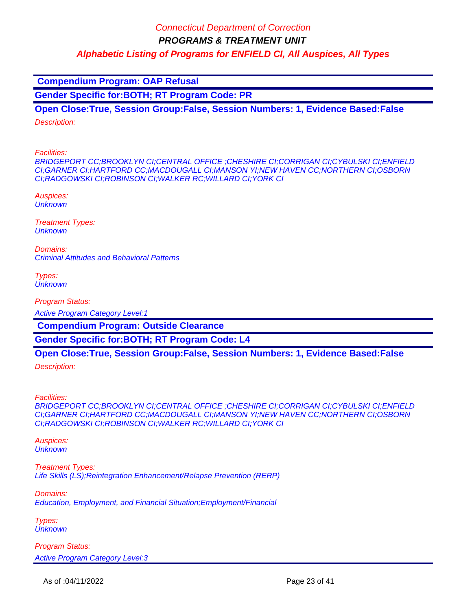**PROGRAMS & TREATMENT UNIT**

**Alphabetic Listing of Programs for ENFIELD CI, All Auspices, All Types**

 **Compendium Program: OAP Refusal**

**Gender Specific for:BOTH; RT Program Code: PR**

**Open Close:True, Session Group:False, Session Numbers: 1, Evidence Based:False**

Description:

Facilities:

BRIDGEPORT CC;BROOKLYN CI;CENTRAL OFFICE ;CHESHIRE CI;CORRIGAN CI;CYBULSKI CI;ENFIELD CI;GARNER CI;HARTFORD CC;MACDOUGALL CI;MANSON YI;NEW HAVEN CC;NORTHERN CI;OSBORN CI;RADGOWSKI CI;ROBINSON CI;WALKER RC;WILLARD CI;YORK CI

Auspices: **Unknown** 

Treatment Types: **Unknown** 

Domains: Criminal Attitudes and Behavioral Patterns

Types: **Unknown** 

Program Status:

Active Program Category Level:1

 **Compendium Program: Outside Clearance**

**Gender Specific for:BOTH; RT Program Code: L4**

### **Open Close:True, Session Group:False, Session Numbers: 1, Evidence Based:False**

Description:

Facilities:

BRIDGEPORT CC;BROOKLYN CI;CENTRAL OFFICE ;CHESHIRE CI;CORRIGAN CI;CYBULSKI CI;ENFIELD CI;GARNER CI;HARTFORD CC;MACDOUGALL CI;MANSON YI;NEW HAVEN CC;NORTHERN CI;OSBORN CI;RADGOWSKI CI;ROBINSON CI;WALKER RC;WILLARD CI;YORK CI

Auspices: **Unknown** 

Treatment Types: Life Skills (LS);Reintegration Enhancement/Relapse Prevention (RERP)

Domains: Education, Employment, and Financial Situation;Employment/Financial

Types: **Unknown**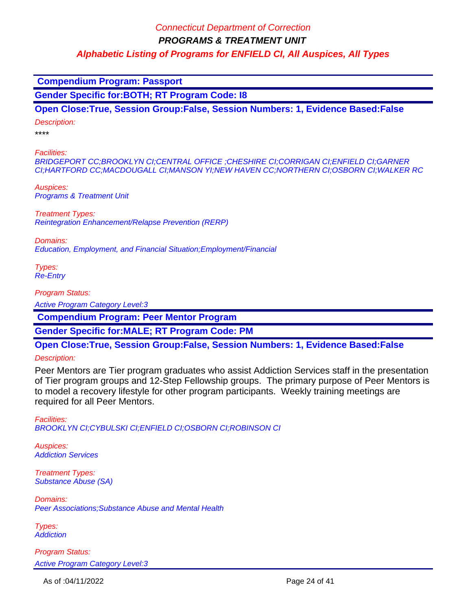**PROGRAMS & TREATMENT UNIT**

### **Alphabetic Listing of Programs for ENFIELD CI, All Auspices, All Types**

#### **Compendium Program: Passport**

**Gender Specific for:BOTH; RT Program Code: I8**

### **Open Close:True, Session Group:False, Session Numbers: 1, Evidence Based:False**

Description:

\*\*\*\*

Facilities:

BRIDGEPORT CC;BROOKLYN CI;CENTRAL OFFICE ;CHESHIRE CI;CORRIGAN CI;ENFIELD CI;GARNER CI;HARTFORD CC;MACDOUGALL CI;MANSON YI;NEW HAVEN CC;NORTHERN CI;OSBORN CI;WALKER RC

Auspices: Programs & Treatment Unit

Treatment Types: Reintegration Enhancement/Relapse Prevention (RERP)

Domains: Education, Employment, and Financial Situation;Employment/Financial

Types: Re-Entry

Program Status:

Active Program Category Level:3

 **Compendium Program: Peer Mentor Program**

**Gender Specific for:MALE; RT Program Code: PM**

**Open Close:True, Session Group:False, Session Numbers: 1, Evidence Based:False**

Description:

Peer Mentors are Tier program graduates who assist Addiction Services staff in the presentation of Tier program groups and 12-Step Fellowship groups. The primary purpose of Peer Mentors is to model a recovery lifestyle for other program participants. Weekly training meetings are required for all Peer Mentors.

Facilities: BROOKLYN CI;CYBULSKI CI;ENFIELD CI;OSBORN CI;ROBINSON CI

Auspices: Addiction Services

Treatment Types: Substance Abuse (SA)

Domains: Peer Associations;Substance Abuse and Mental Health

Types: **Addiction**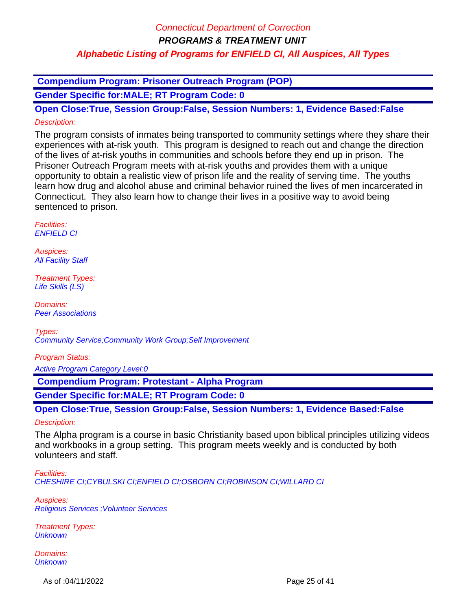**PROGRAMS & TREATMENT UNIT**

### **Alphabetic Listing of Programs for ENFIELD CI, All Auspices, All Types**

 **Compendium Program: Prisoner Outreach Program (POP)**

**Gender Specific for:MALE; RT Program Code: 0**

**Open Close:True, Session Group:False, Session Numbers: 1, Evidence Based:False** Description:

The program consists of inmates being transported to community settings where they share their experiences with at-risk youth. This program is designed to reach out and change the direction of the lives of at-risk youths in communities and schools before they end up in prison. The Prisoner Outreach Program meets with at-risk youths and provides them with a unique opportunity to obtain a realistic view of prison life and the reality of serving time. The youths learn how drug and alcohol abuse and criminal behavior ruined the lives of men incarcerated in Connecticut. They also learn how to change their lives in a positive way to avoid being sentenced to prison.

Facilities: ENFIELD CI

Auspices: **All Facility Staff** 

Treatment Types: Life Skills (LS)

Domains: Peer Associations

Types: Community Service;Community Work Group;Self Improvement

Program Status:

Active Program Category Level:0

 **Compendium Program: Protestant - Alpha Program**

**Gender Specific for:MALE; RT Program Code: 0**

**Open Close:True, Session Group:False, Session Numbers: 1, Evidence Based:False**

Description:

The Alpha program is a course in basic Christianity based upon biblical principles utilizing videos and workbooks in a group setting. This program meets weekly and is conducted by both volunteers and staff.

Facilities: CHESHIRE CI;CYBULSKI CI;ENFIELD CI;OSBORN CI;ROBINSON CI;WILLARD CI

Auspices: Religious Services ;Volunteer Services

Treatment Types: **Unknown** 

Domains: **Unknown** 

As of :04/11/2022 Page 25 of 41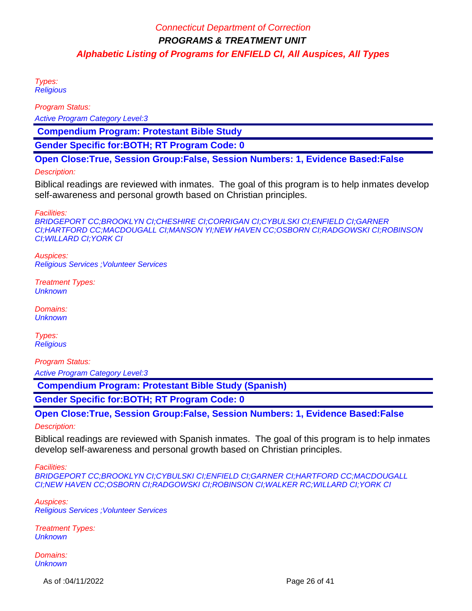Types: **Religious** 

Program Status:

Active Program Category Level:3

 **Compendium Program: Protestant Bible Study**

**Gender Specific for:BOTH; RT Program Code: 0**

**Open Close:True, Session Group:False, Session Numbers: 1, Evidence Based:False**

#### Description:

Biblical readings are reviewed with inmates. The goal of this program is to help inmates develop self-awareness and personal growth based on Christian principles.

Facilities:

BRIDGEPORT CC;BROOKLYN CI;CHESHIRE CI;CORRIGAN CI;CYBULSKI CI;ENFIELD CI;GARNER CI;HARTFORD CC;MACDOUGALL CI;MANSON YI;NEW HAVEN CC;OSBORN CI;RADGOWSKI CI;ROBINSON CI;WILLARD CI;YORK CI

Auspices: Religious Services ;Volunteer Services

Treatment Types: **Unknown** 

Domains: **Unknown** 

Types: **Religious** 

Program Status:

Active Program Category Level:3

 **Compendium Program: Protestant Bible Study (Spanish)**

**Gender Specific for:BOTH; RT Program Code: 0**

**Open Close:True, Session Group:False, Session Numbers: 1, Evidence Based:False**

### Description:

Biblical readings are reviewed with Spanish inmates. The goal of this program is to help inmates develop self-awareness and personal growth based on Christian principles.

Facilities:

BRIDGEPORT CC;BROOKLYN CI;CYBULSKI CI;ENFIELD CI;GARNER CI;HARTFORD CC;MACDOUGALL CI;NEW HAVEN CC;OSBORN CI;RADGOWSKI CI;ROBINSON CI;WALKER RC;WILLARD CI;YORK CI

Auspices: Religious Services ;Volunteer Services

Treatment Types: **Unknown** 

Domains: **Unknown** 

As of :04/11/2022 Page 26 of 41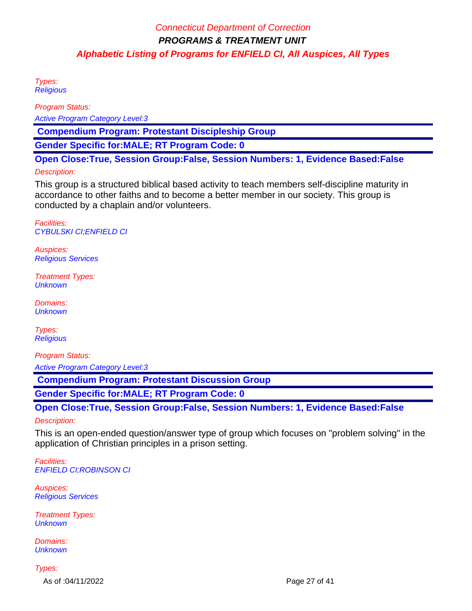Types: **Religious** 

Program Status:

Active Program Category Level:3

 **Compendium Program: Protestant Discipleship Group**

**Gender Specific for:MALE; RT Program Code: 0**

**Open Close:True, Session Group:False, Session Numbers: 1, Evidence Based:False**

#### Description:

This group is a structured biblical based activity to teach members self-discipline maturity in accordance to other faiths and to become a better member in our society. This group is conducted by a chaplain and/or volunteers.

Facilities: CYBULSKI CI;ENFIELD CI

Auspices: Religious Services

Treatment Types: **Unknown** 

Domains: **Unknown** 

Types: **Religious** 

Program Status:

Active Program Category Level:3

 **Compendium Program: Protestant Discussion Group**

**Gender Specific for:MALE; RT Program Code: 0**

**Open Close:True, Session Group:False, Session Numbers: 1, Evidence Based:False**

#### Description:

This is an open-ended question/answer type of group which focuses on "problem solving" in the application of Christian principles in a prison setting.

Facilities: ENFIELD CI;ROBINSON CI

Auspices: Religious Services

Treatment Types: **Unknown** 

Domains: **Unknown** 

Types:

As of :04/11/2022 Page 27 of 41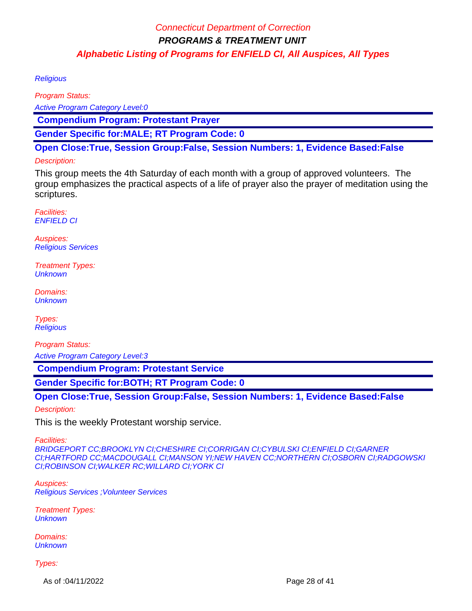**Religious** 

Program Status: Active Program Category Level:0

 **Compendium Program: Protestant Prayer**

**Gender Specific for:MALE; RT Program Code: 0**

**Open Close:True, Session Group:False, Session Numbers: 1, Evidence Based:False**

### Description:

This group meets the 4th Saturday of each month with a group of approved volunteers. The group emphasizes the practical aspects of a life of prayer also the prayer of meditation using the scriptures.

Facilities: ENFIELD CI

Auspices: Religious Services

Treatment Types: **Unknown** 

Domains: **Unknown** 

Types: **Religious** 

Program Status:

Active Program Category Level:3

 **Compendium Program: Protestant Service**

**Gender Specific for:BOTH; RT Program Code: 0**

**Open Close:True, Session Group:False, Session Numbers: 1, Evidence Based:False**

Description:

This is the weekly Protestant worship service.

Facilities:

BRIDGEPORT CC;BROOKLYN CI;CHESHIRE CI;CORRIGAN CI;CYBULSKI CI;ENFIELD CI;GARNER CI;HARTFORD CC;MACDOUGALL CI;MANSON YI;NEW HAVEN CC;NORTHERN CI;OSBORN CI;RADGOWSKI CI;ROBINSON CI;WALKER RC;WILLARD CI;YORK CI

Auspices: Religious Services ;Volunteer Services

Treatment Types: **Unknown** 

Domains: **Unknown** 

Types:

As of :04/11/2022 Page 28 of 41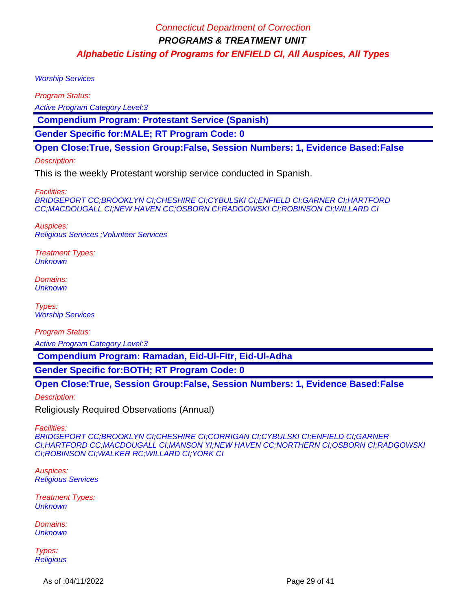Worship Services

Program Status:

Active Program Category Level:3

 **Compendium Program: Protestant Service (Spanish)**

**Gender Specific for:MALE; RT Program Code: 0**

**Open Close:True, Session Group:False, Session Numbers: 1, Evidence Based:False**

#### Description:

This is the weekly Protestant worship service conducted in Spanish.

Facilities:

BRIDGEPORT CC;BROOKLYN CI;CHESHIRE CI;CYBULSKI CI;ENFIELD CI;GARNER CI;HARTFORD CC;MACDOUGALL CI;NEW HAVEN CC;OSBORN CI;RADGOWSKI CI;ROBINSON CI;WILLARD CI

Auspices: Religious Services ;Volunteer Services

Treatment Types: Unknown

Domains: **Unknown** 

Types: Worship Services

Program Status:

Active Program Category Level:3

 **Compendium Program: Ramadan, Eid-Ul-Fitr, Eid-Ul-Adha**

**Gender Specific for:BOTH; RT Program Code: 0**

**Open Close:True, Session Group:False, Session Numbers: 1, Evidence Based:False**

Description:

Religiously Required Observations (Annual)

Facilities:

BRIDGEPORT CC;BROOKLYN CI;CHESHIRE CI;CORRIGAN CI;CYBULSKI CI;ENFIELD CI;GARNER CI;HARTFORD CC;MACDOUGALL CI;MANSON YI;NEW HAVEN CC;NORTHERN CI;OSBORN CI;RADGOWSKI CI;ROBINSON CI;WALKER RC;WILLARD CI;YORK CI

Auspices: Religious Services

Treatment Types: **Unknown** 

Domains: **Unknown** 

Types: **Religious** 

As of :04/11/2022 Page 29 of 41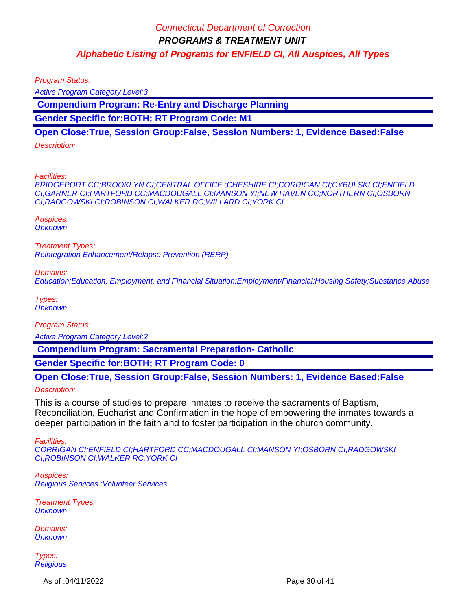Program Status:

Active Program Category Level:3

 **Compendium Program: Re-Entry and Discharge Planning**

**Gender Specific for:BOTH; RT Program Code: M1**

**Open Close:True, Session Group:False, Session Numbers: 1, Evidence Based:False**

Description:

Facilities:

BRIDGEPORT CC;BROOKLYN CI;CENTRAL OFFICE ;CHESHIRE CI;CORRIGAN CI;CYBULSKI CI;ENFIELD CI;GARNER CI;HARTFORD CC;MACDOUGALL CI;MANSON YI;NEW HAVEN CC;NORTHERN CI;OSBORN CI;RADGOWSKI CI;ROBINSON CI;WALKER RC;WILLARD CI;YORK CI

Auspices: **Unknown** 

Treatment Types: Reintegration Enhancement/Relapse Prevention (RERP)

Domains:

Education;Education, Employment, and Financial Situation;Employment/Financial;Housing Safety;Substance Abuse

Types: **Unknown** 

Program Status:

Active Program Category Level:2

 **Compendium Program: Sacramental Preparation- Catholic**

**Gender Specific for:BOTH; RT Program Code: 0**

**Open Close:True, Session Group:False, Session Numbers: 1, Evidence Based:False**

Description:

This is a course of studies to prepare inmates to receive the sacraments of Baptism, Reconciliation, Eucharist and Confirmation in the hope of empowering the inmates towards a deeper participation in the faith and to foster participation in the church community.

Facilities:

CORRIGAN CI;ENFIELD CI;HARTFORD CC;MACDOUGALL CI;MANSON YI;OSBORN CI;RADGOWSKI CI;ROBINSON CI;WALKER RC;YORK CI

Auspices: Religious Services ;Volunteer Services

Treatment Types: **Unknown** 

Domains: **Unknown** 

Types: **Religious** 

As of :04/11/2022 Page 30 of 41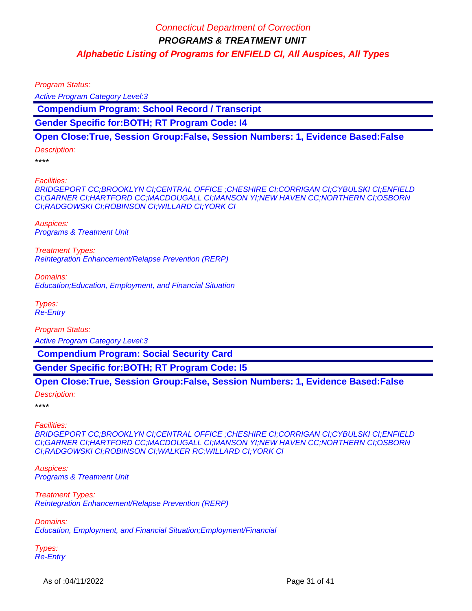Program Status:

Active Program Category Level:3

 **Compendium Program: School Record / Transcript**

**Gender Specific for:BOTH; RT Program Code: I4**

### **Open Close:True, Session Group:False, Session Numbers: 1, Evidence Based:False**

Description:

\*\*\*\*

Facilities:

BRIDGEPORT CC;BROOKLYN CI;CENTRAL OFFICE ;CHESHIRE CI;CORRIGAN CI;CYBULSKI CI;ENFIELD CI;GARNER CI;HARTFORD CC;MACDOUGALL CI;MANSON YI;NEW HAVEN CC;NORTHERN CI;OSBORN CI;RADGOWSKI CI;ROBINSON CI;WILLARD CI;YORK CI

Auspices: Programs & Treatment Unit

Treatment Types: Reintegration Enhancement/Relapse Prevention (RERP)

Domains:

Education;Education, Employment, and Financial Situation

Types: Re-Entry

Program Status:

Active Program Category Level:3

 **Compendium Program: Social Security Card**

**Gender Specific for:BOTH; RT Program Code: I5**

**Open Close:True, Session Group:False, Session Numbers: 1, Evidence Based:False**

Description:

\*\*\*\*

Facilities:

BRIDGEPORT CC;BROOKLYN CI;CENTRAL OFFICE ;CHESHIRE CI;CORRIGAN CI;CYBULSKI CI;ENFIELD CI;GARNER CI;HARTFORD CC;MACDOUGALL CI;MANSON YI;NEW HAVEN CC;NORTHERN CI;OSBORN CI;RADGOWSKI CI;ROBINSON CI;WALKER RC;WILLARD CI;YORK CI

Auspices: Programs & Treatment Unit

Treatment Types: Reintegration Enhancement/Relapse Prevention (RERP)

Domains: Education, Employment, and Financial Situation;Employment/Financial

Types: Re-Entry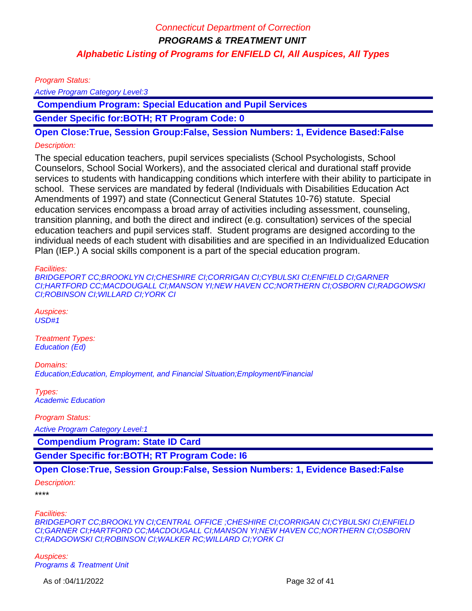Program Status:

Active Program Category Level:3

 **Compendium Program: Special Education and Pupil Services**

**Gender Specific for:BOTH; RT Program Code: 0**

**Open Close:True, Session Group:False, Session Numbers: 1, Evidence Based:False**

#### Description:

The special education teachers, pupil services specialists (School Psychologists, School Counselors, School Social Workers), and the associated clerical and durational staff provide services to students with handicapping conditions which interfere with their ability to participate in school. These services are mandated by federal (Individuals with Disabilities Education Act Amendments of 1997) and state (Connecticut General Statutes 10-76) statute. Special education services encompass a broad array of activities including assessment, counseling, transition planning, and both the direct and indirect (e.g. consultation) services of the special education teachers and pupil services staff. Student programs are designed according to the individual needs of each student with disabilities and are specified in an Individualized Education Plan (IEP.) A social skills component is a part of the special education program.

#### Facilities:

BRIDGEPORT CC;BROOKLYN CI;CHESHIRE CI;CORRIGAN CI;CYBULSKI CI;ENFIELD CI;GARNER CI;HARTFORD CC;MACDOUGALL CI;MANSON YI;NEW HAVEN CC;NORTHERN CI;OSBORN CI;RADGOWSKI CI;ROBINSON CI;WILLARD CI;YORK CI

Auspices:  $\overline{USD}$ #1

Treatment Types: Education (Ed)

Domains: Education;Education, Employment, and Financial Situation;Employment/Financial

Types: Academic Education

Program Status:

Active Program Category Level:1

 **Compendium Program: State ID Card**

**Gender Specific for:BOTH; RT Program Code: I6**

### **Open Close:True, Session Group:False, Session Numbers: 1, Evidence Based:False**

#### Description:

\*\*\*\*

#### Facilities:

BRIDGEPORT CC;BROOKLYN CI;CENTRAL OFFICE ;CHESHIRE CI;CORRIGAN CI;CYBULSKI CI;ENFIELD CI;GARNER CI;HARTFORD CC;MACDOUGALL CI;MANSON YI;NEW HAVEN CC;NORTHERN CI;OSBORN CI;RADGOWSKI CI;ROBINSON CI;WALKER RC;WILLARD CI;YORK CI

Auspices: Programs & Treatment Unit

As of :04/11/2022 Page 32 of 41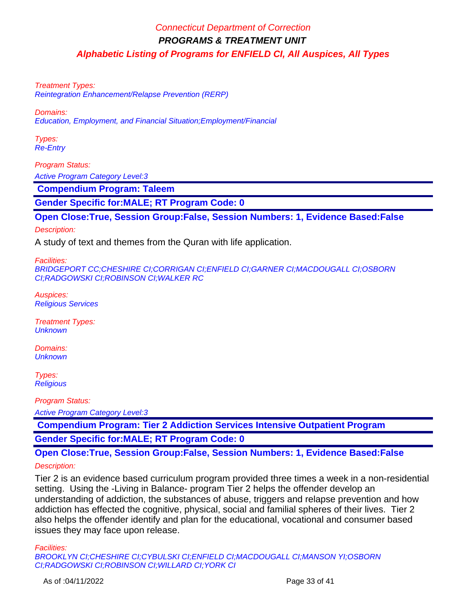Treatment Types: Reintegration Enhancement/Relapse Prevention (RERP)

Domains:

Education, Employment, and Financial Situation;Employment/Financial

Types: Re-Entry

Program Status:

Active Program Category Level:3

 **Compendium Program: Taleem**

**Gender Specific for:MALE; RT Program Code: 0**

**Open Close:True, Session Group:False, Session Numbers: 1, Evidence Based:False**

Description:

A study of text and themes from the Quran with life application.

Facilities:

BRIDGEPORT CC;CHESHIRE CI;CORRIGAN CI;ENFIELD CI;GARNER CI;MACDOUGALL CI;OSBORN CI;RADGOWSKI CI;ROBINSON CI;WALKER RC

Auspices: Religious Services

Treatment Types: **Unknown** 

Domains: **Unknown** 

Types: **Religious** 

Program Status:

Active Program Category Level:3

 **Compendium Program: Tier 2 Addiction Services Intensive Outpatient Program**

**Gender Specific for:MALE; RT Program Code: 0**

**Open Close:True, Session Group:False, Session Numbers: 1, Evidence Based:False**

Description:

Tier 2 is an evidence based curriculum program provided three times a week in a non-residential setting. Using the -Living in Balance- program Tier 2 helps the offender develop an understanding of addiction, the substances of abuse, triggers and relapse prevention and how addiction has effected the cognitive, physical, social and familial spheres of their lives. Tier 2 also helps the offender identify and plan for the educational, vocational and consumer based issues they may face upon release.

Facilities:

BROOKLYN CI;CHESHIRE CI;CYBULSKI CI;ENFIELD CI;MACDOUGALL CI;MANSON YI;OSBORN CI;RADGOWSKI CI;ROBINSON CI;WILLARD CI;YORK CI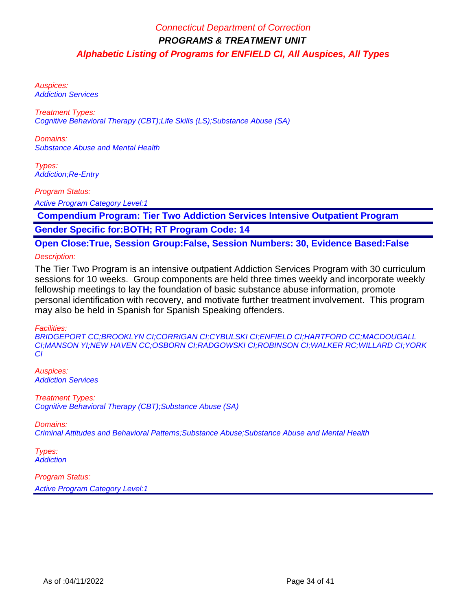Auspices: Addiction Services

Treatment Types: Cognitive Behavioral Therapy (CBT);Life Skills (LS);Substance Abuse (SA)

Domains: Substance Abuse and Mental Health

Types: Addiction;Re-Entry

Program Status:

Active Program Category Level:1

 **Compendium Program: Tier Two Addiction Services Intensive Outpatient Program Gender Specific for:BOTH; RT Program Code: 14**

**Open Close:True, Session Group:False, Session Numbers: 30, Evidence Based:False**

Description:

The Tier Two Program is an intensive outpatient Addiction Services Program with 30 curriculum sessions for 10 weeks. Group components are held three times weekly and incorporate weekly fellowship meetings to lay the foundation of basic substance abuse information, promote personal identification with recovery, and motivate further treatment involvement. This program may also be held in Spanish for Spanish Speaking offenders.

Facilities:

BRIDGEPORT CC;BROOKLYN CI;CORRIGAN CI;CYBULSKI CI;ENFIELD CI;HARTFORD CC;MACDOUGALL CI;MANSON YI;NEW HAVEN CC;OSBORN CI;RADGOWSKI CI;ROBINSON CI;WALKER RC;WILLARD CI;YORK CI

Auspices: Addiction Services

Treatment Types: Cognitive Behavioral Therapy (CBT);Substance Abuse (SA)

Domains:

Criminal Attitudes and Behavioral Patterns;Substance Abuse;Substance Abuse and Mental Health

Types: **Addiction**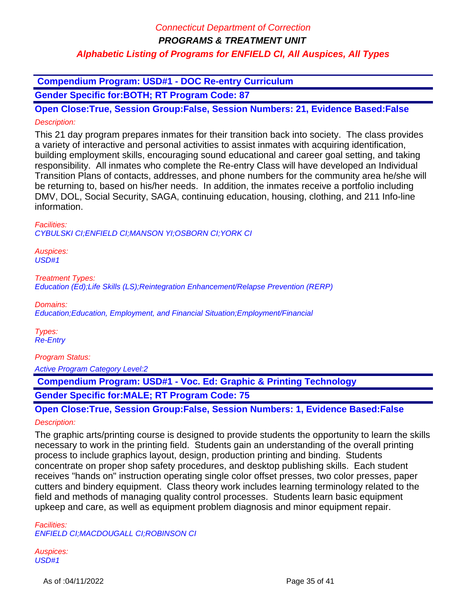### **Compendium Program: USD#1 - DOC Re-entry Curriculum**

**Gender Specific for:BOTH; RT Program Code: 87**

**Open Close:True, Session Group:False, Session Numbers: 21, Evidence Based:False** Description:

This 21 day program prepares inmates for their transition back into society. The class provides a variety of interactive and personal activities to assist inmates with acquiring identification, building employment skills, encouraging sound educational and career goal setting, and taking responsibility. All inmates who complete the Re-entry Class will have developed an Individual Transition Plans of contacts, addresses, and phone numbers for the community area he/she will be returning to, based on his/her needs. In addition, the inmates receive a portfolio including DMV, DOL, Social Security, SAGA, continuing education, housing, clothing, and 211 Info-line information.

Facilities:

CYBULSKI CI;ENFIELD CI;MANSON YI;OSBORN CI;YORK CI

Auspices: USD#1

Treatment Types: Education (Ed);Life Skills (LS);Reintegration Enhancement/Relapse Prevention (RERP)

Domains:

Education;Education, Employment, and Financial Situation;Employment/Financial

Types: Re-Entry

Program Status:

Active Program Category Level:2

 **Compendium Program: USD#1 - Voc. Ed: Graphic & Printing Technology**

**Gender Specific for:MALE; RT Program Code: 75**

**Open Close:True, Session Group:False, Session Numbers: 1, Evidence Based:False** Description:

The graphic arts/printing course is designed to provide students the opportunity to learn the skills necessary to work in the printing field. Students gain an understanding of the overall printing process to include graphics layout, design, production printing and binding. Students concentrate on proper shop safety procedures, and desktop publishing skills. Each student receives "hands on" instruction operating single color offset presses, two color presses, paper cutters and bindery equipment. Class theory work includes learning terminology related to the field and methods of managing quality control processes. Students learn basic equipment upkeep and care, as well as equipment problem diagnosis and minor equipment repair.

Facilities: ENFIELD CI;MACDOUGALL CI;ROBINSON CI

Auspices: USD#1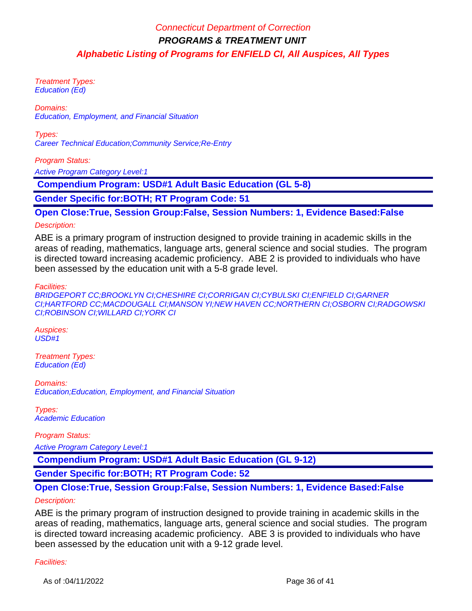Treatment Types: Education (Ed)

Domains: Education, Employment, and Financial Situation

Types: Career Technical Education;Community Service;Re-Entry

Program Status:

Active Program Category Level:1

 **Compendium Program: USD#1 Adult Basic Education (GL 5-8)**

**Gender Specific for:BOTH; RT Program Code: 51**

**Open Close:True, Session Group:False, Session Numbers: 1, Evidence Based:False**

Description:

ABE is a primary program of instruction designed to provide training in academic skills in the areas of reading, mathematics, language arts, general science and social studies. The program is directed toward increasing academic proficiency. ABE 2 is provided to individuals who have been assessed by the education unit with a 5-8 grade level.

Facilities:

BRIDGEPORT CC;BROOKLYN CI;CHESHIRE CI;CORRIGAN CI;CYBULSKI CI;ENFIELD CI;GARNER CI;HARTFORD CC;MACDOUGALL CI;MANSON YI;NEW HAVEN CC;NORTHERN CI;OSBORN CI;RADGOWSKI CI;ROBINSON CI;WILLARD CI;YORK CI

Auspices: USD#1

Treatment Types: Education (Ed)

Domains: Education;Education, Employment, and Financial Situation

Types: Academic Education

Program Status:

Active Program Category Level:1

 **Compendium Program: USD#1 Adult Basic Education (GL 9-12)**

**Gender Specific for:BOTH; RT Program Code: 52**

### **Open Close:True, Session Group:False, Session Numbers: 1, Evidence Based:False**

### Description:

ABE is the primary program of instruction designed to provide training in academic skills in the areas of reading, mathematics, language arts, general science and social studies. The program is directed toward increasing academic proficiency. ABE 3 is provided to individuals who have been assessed by the education unit with a 9-12 grade level.

#### Facilities: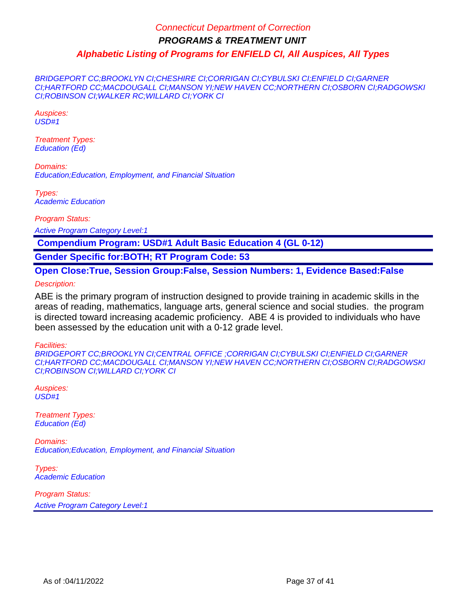BRIDGEPORT CC;BROOKLYN CI;CHESHIRE CI;CORRIGAN CI;CYBULSKI CI;ENFIELD CI;GARNER CI;HARTFORD CC;MACDOUGALL CI;MANSON YI;NEW HAVEN CC;NORTHERN CI;OSBORN CI;RADGOWSKI CI;ROBINSON CI;WALKER RC;WILLARD CI;YORK CI

Auspices: USD#1

Treatment Types: Education (Ed)

Domains: Education;Education, Employment, and Financial Situation

Types: Academic Education

Program Status:

Active Program Category Level:1

 **Compendium Program: USD#1 Adult Basic Education 4 (GL 0-12)**

**Gender Specific for:BOTH; RT Program Code: 53**

**Open Close:True, Session Group:False, Session Numbers: 1, Evidence Based:False**

Description:

ABE is the primary program of instruction designed to provide training in academic skills in the areas of reading, mathematics, language arts, general science and social studies. the program is directed toward increasing academic proficiency. ABE 4 is provided to individuals who have been assessed by the education unit with a 0-12 grade level.

Facilities:

BRIDGEPORT CC;BROOKLYN CI;CENTRAL OFFICE ;CORRIGAN CI;CYBULSKI CI;ENFIELD CI;GARNER CI;HARTFORD CC;MACDOUGALL CI;MANSON YI;NEW HAVEN CC;NORTHERN CI;OSBORN CI;RADGOWSKI CI;ROBINSON CI;WILLARD CI;YORK CI

Auspices: USD#1

Treatment Types: Education (Ed)

Domains: Education;Education, Employment, and Financial Situation

Types: Academic Education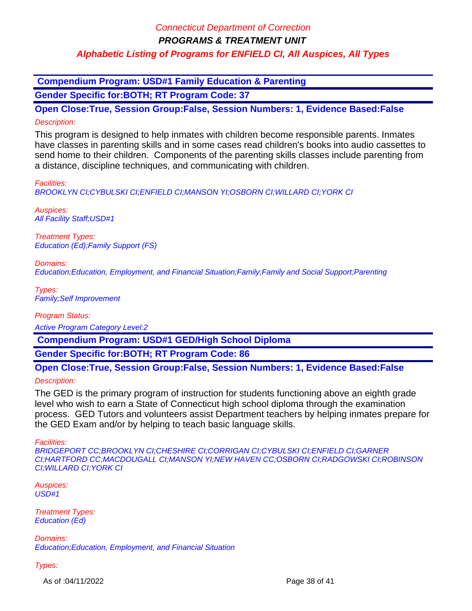**PROGRAMS & TREATMENT UNIT**

### **Alphabetic Listing of Programs for ENFIELD CI, All Auspices, All Types**

 **Compendium Program: USD#1 Family Education & Parenting**

**Gender Specific for:BOTH; RT Program Code: 37**

**Open Close:True, Session Group:False, Session Numbers: 1, Evidence Based:False** Description:

This program is designed to help inmates with children become responsible parents. Inmates have classes in parenting skills and in some cases read children's books into audio cassettes to send home to their children. Components of the parenting skills classes include parenting from a distance, discipline techniques, and communicating with children.

Facilities:

BROOKLYN CI;CYBULSKI CI;ENFIELD CI;MANSON YI;OSBORN CI;WILLARD CI;YORK CI

Auspices: **All Facility Staff; USD#1** 

Treatment Types: Education (Ed);Family Support (FS)

Domains:

Education;Education, Employment, and Financial Situation;Family;Family and Social Support;Parenting

Types: Family;Self Improvement

Program Status:

Active Program Category Level:2

 **Compendium Program: USD#1 GED/High School Diploma**

**Gender Specific for:BOTH; RT Program Code: 86**

**Open Close:True, Session Group:False, Session Numbers: 1, Evidence Based:False**

Description:

The GED is the primary program of instruction for students functioning above an eighth grade level who wish to earn a State of Connecticut high school diploma through the examination process. GED Tutors and volunteers assist Department teachers by helping inmates prepare for the GED Exam and/or by helping to teach basic language skills.

Facilities:

BRIDGEPORT CC;BROOKLYN CI;CHESHIRE CI;CORRIGAN CI;CYBULSKI CI;ENFIELD CI;GARNER CI;HARTFORD CC;MACDOUGALL CI;MANSON YI;NEW HAVEN CC;OSBORN CI;RADGOWSKI CI;ROBINSON CI;WILLARD CI;YORK CI

Auspices: USD#1

Treatment Types: Education (Ed)

Domains: Education;Education, Employment, and Financial Situation

Types:

As of :04/11/2022 Page 38 of 41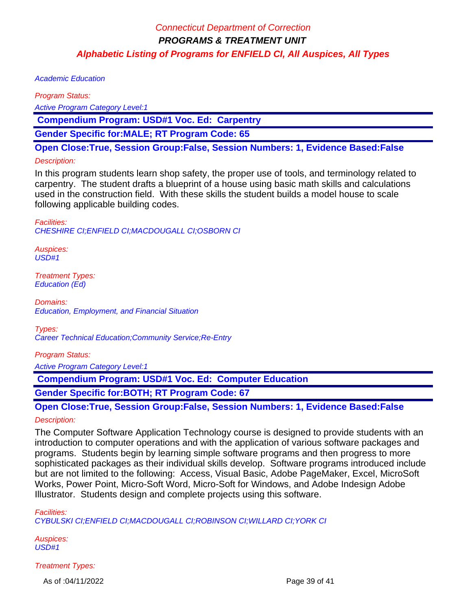Academic Education

Program Status: Active Program Category Level:1

 **Compendium Program: USD#1 Voc. Ed: Carpentry**

**Gender Specific for:MALE; RT Program Code: 65**

**Open Close:True, Session Group:False, Session Numbers: 1, Evidence Based:False**

### Description:

In this program students learn shop safety, the proper use of tools, and terminology related to carpentry. The student drafts a blueprint of a house using basic math skills and calculations used in the construction field. With these skills the student builds a model house to scale following applicable building codes.

Facilities: CHESHIRE CI;ENFIELD CI;MACDOUGALL CI;OSBORN CI

Auspices: USD#1

Treatment Types: Education (Ed)

Domains: Education, Employment, and Financial Situation

Types: Career Technical Education;Community Service;Re-Entry

Program Status:

Active Program Category Level:1

 **Compendium Program: USD#1 Voc. Ed: Computer Education**

**Gender Specific for:BOTH; RT Program Code: 67**

**Open Close:True, Session Group:False, Session Numbers: 1, Evidence Based:False** Description:

The Computer Software Application Technology course is designed to provide students with an introduction to computer operations and with the application of various software packages and programs. Students begin by learning simple software programs and then progress to more sophisticated packages as their individual skills develop. Software programs introduced include but are not limited to the following: Access, Visual Basic, Adobe PageMaker, Excel, MicroSoft Works, Power Point, Micro-Soft Word, Micro-Soft for Windows, and Adobe Indesign Adobe Illustrator. Students design and complete projects using this software.

Facilities: CYBULSKI CI;ENFIELD CI;MACDOUGALL CI;ROBINSON CI;WILLARD CI;YORK CI

Auspices: USD#1

Treatment Types:

As of :04/11/2022 Page 39 of 41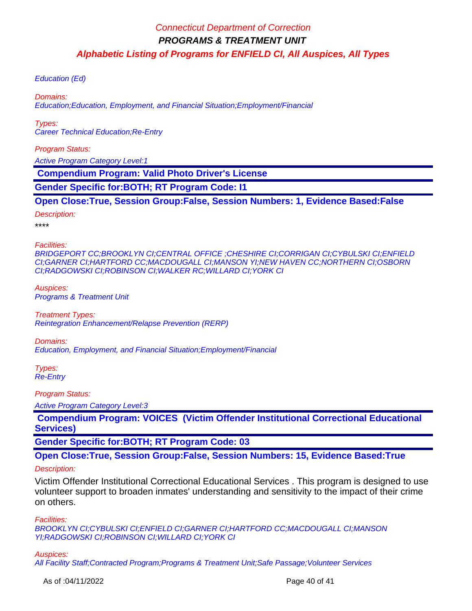Education (Ed)

Domains: Education;Education, Employment, and Financial Situation;Employment/Financial

Types: Career Technical Education;Re-Entry

Program Status:

Active Program Category Level:1

 **Compendium Program: Valid Photo Driver's License**

**Gender Specific for:BOTH; RT Program Code: I1**

**Open Close:True, Session Group:False, Session Numbers: 1, Evidence Based:False**

Description:

\*\*\*\*

Facilities:

BRIDGEPORT CC;BROOKLYN CI;CENTRAL OFFICE ;CHESHIRE CI;CORRIGAN CI;CYBULSKI CI;ENFIELD CI;GARNER CI;HARTFORD CC;MACDOUGALL CI;MANSON YI;NEW HAVEN CC;NORTHERN CI;OSBORN CI;RADGOWSKI CI;ROBINSON CI;WALKER RC;WILLARD CI;YORK CI

Auspices: Programs & Treatment Unit

Treatment Types: Reintegration Enhancement/Relapse Prevention (RERP)

Domains: Education, Employment, and Financial Situation;Employment/Financial

Types: Re-Entry

Program Status:

Active Program Category Level:3

 **Compendium Program: VOICES (Victim Offender Institutional Correctional Educational Services)**

**Gender Specific for:BOTH; RT Program Code: 03**

**Open Close:True, Session Group:False, Session Numbers: 15, Evidence Based:True**

### Description:

Victim Offender Institutional Correctional Educational Services . This program is designed to use volunteer support to broaden inmates' understanding and sensitivity to the impact of their crime on others.

Facilities:

BROOKLYN CI;CYBULSKI CI;ENFIELD CI;GARNER CI;HARTFORD CC;MACDOUGALL CI;MANSON YI;RADGOWSKI CI;ROBINSON CI;WILLARD CI;YORK CI

Auspices:

All Facility Staff;Contracted Program;Programs & Treatment Unit;Safe Passage;Volunteer Services